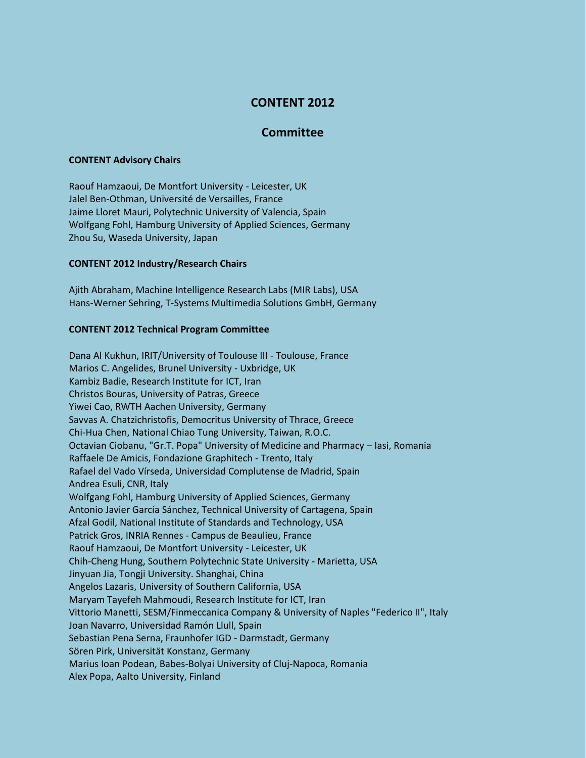# **CONTENT 2012**

# **Committee**

#### **CONTENT Advisory Chairs**

Raouf Hamzaoui, De Montfort University - Leicester, UK Jalel Ben-Othman, Université de Versailles, France Jaime Lloret Mauri, Polytechnic University of Valencia, Spain Wolfgang Fohl, Hamburg University of Applied Sciences, Germany Zhou Su, Waseda University, Japan

## **CONTENT 2012 Industry/Research Chairs**

Ajith Abraham, Machine Intelligence Research Labs (MIR Labs), USA Hans-Werner Sehring, T-Systems Multimedia Solutions GmbH, Germany

## **CONTENT 2012 Technical Program Committee**

Dana Al Kukhun, IRIT/University of Toulouse III - Toulouse, France Marios C. Angelides, Brunel University - Uxbridge, UK Kambiz Badie, Research Institute for ICT, Iran Christos Bouras, University of Patras, Greece Yiwei Cao, RWTH Aachen University, Germany Savvas A. Chatzichristofis, Democritus University of Thrace, Greece Chi-Hua Chen, National Chiao Tung University, Taiwan, R.O.C. Octavian Ciobanu, "Gr.T. Popa" University of Medicine and Pharmacy – Iasi, Romania Raffaele De Amicis, Fondazione Graphitech - Trento, Italy Rafael del Vado Vírseda, Universidad Complutense de Madrid, Spain Andrea Esuli, CNR, Italy Wolfgang Fohl, Hamburg University of Applied Sciences, Germany Antonio Javier García Sánchez, Technical University of Cartagena, Spain Afzal Godil, National Institute of Standards and Technology, USA Patrick Gros, INRIA Rennes - Campus de Beaulieu, France Raouf Hamzaoui, De Montfort University - Leicester, UK Chih-Cheng Hung, Southern Polytechnic State University - Marietta, USA Jinyuan Jia, Tongji University. Shanghai, China Angelos Lazaris, University of Southern California, USA Maryam Tayefeh Mahmoudi, Research Institute for ICT, Iran Vittorio Manetti, SESM/Finmeccanica Company & University of Naples "Federico II", Italy Joan Navarro, Universidad Ramón Llull, Spain Sebastian Pena Serna, Fraunhofer IGD - Darmstadt, Germany Sören Pirk, Universität Konstanz, Germany Marius Ioan Podean, Babes-Bolyai University of Cluj-Napoca, Romania Alex Popa, Aalto University, Finland